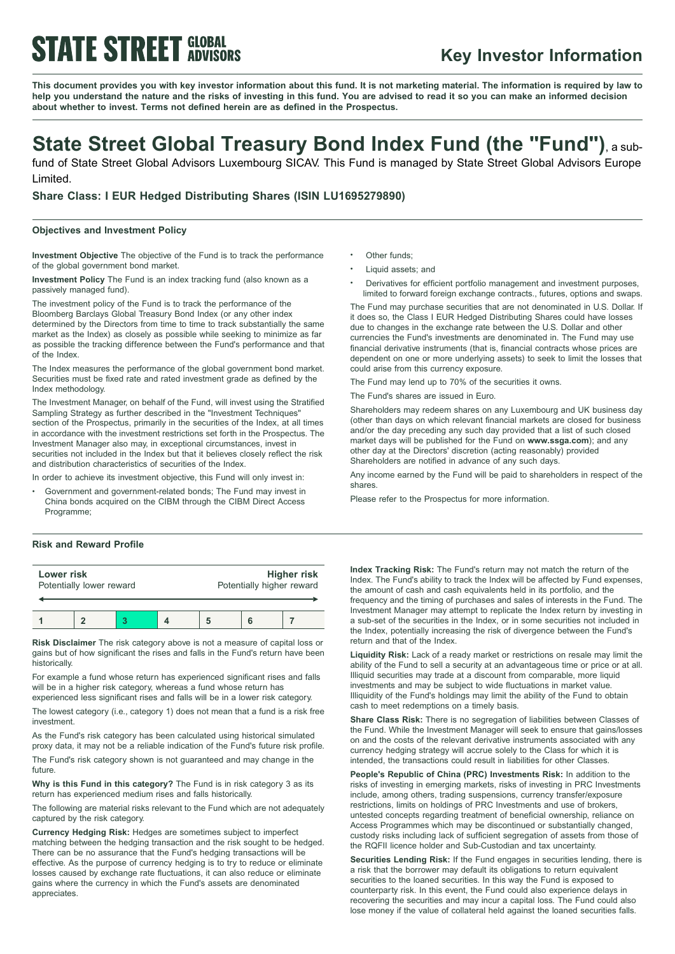# **STATE STREET GLOBAL**

### **Key Investor Information**

This document provides you with key investor information about this fund. It is not marketing material. The information is required by law to help you understand the nature and the risks of investing in this fund. You are advised to read it so you can make an informed decision **about whether to invest. Terms not defined herein are as defined in the Prospectus.**

## **State Street Global Treasury Bond Index Fund (the "Fund")**, <sup>a</sup> sub-

fund of State Street Global Advisors Luxembourg SICAV. This Fund is managed by State Street Global Advisors Europe Limited.

**Share Class: I EUR Hedged Distributing Shares (ISIN LU1695279890)**

### **Objectives and Investment Policy**

**Investment Objective** The objective of the Fund is to track the performance of the global government bond market.

**Investment Policy** The Fund is an index tracking fund (also known as a passively managed fund).

The investment policy of the Fund is to track the performance of the Bloomberg Barclays Global Treasury Bond Index (or any other index determined by the Directors from time to time to track substantially the same market as the Index) as closely as possible while seeking to minimize as far as possible the tracking difference between the Fund's performance and that of the Index.

The Index measures the performance of the global government bond market. Securities must be fixed rate and rated investment grade as defined by the Index methodology.

The Investment Manager, on behalf of the Fund, will invest using the Stratified Sampling Strategy as further described in the "Investment Techniques" section of the Prospectus, primarily in the securities of the Index, at all times in accordance with the investment restrictions set forth in the Prospectus. The Investment Manager also may, in exceptional circumstances, invest in securities not included in the Index but that it believes closely reflect the risk and distribution characteristics of securities of the Index.

In order to achieve its investment objective, this Fund will only invest in:

<sup>b</sup> Government and government-related bonds; The Fund may invest in China bonds acquired on the CIBM through the CIBM Direct Access Programme;

### **Risk and Reward Profile**

| Lower risk<br>Potentially lower reward |  |  |  | <b>Higher risk</b><br>Potentially higher reward |  |  |
|----------------------------------------|--|--|--|-------------------------------------------------|--|--|
|                                        |  |  |  |                                                 |  |  |
|                                        |  |  |  |                                                 |  |  |

**Risk Disclaimer** The risk category above is not a measure of capital loss or gains but of how significant the rises and falls in the Fund's return have been historically.

For example a fund whose return has experienced significant rises and falls will be in a higher risk category, whereas a fund whose return has

experienced less significant rises and falls will be in a lower risk category. The lowest category (i.e., category 1) does not mean that a fund is a risk free investment.

As the Fund's risk category has been calculated using historical simulated proxy data, it may not be a reliable indication of the Fund's future risk profile.

The Fund's risk category shown is not guaranteed and may change in the future.

**Why is this Fund in this category?** The Fund is in risk category 3 as its return has experienced medium rises and falls historically.

The following are material risks relevant to the Fund which are not adequately captured by the risk category.

**Currency Hedging Risk:** Hedges are sometimes subject to imperfect matching between the hedging transaction and the risk sought to be hedged. There can be no assurance that the Fund's hedging transactions will be effective. As the purpose of currency hedging is to try to reduce or eliminate losses caused by exchange rate fluctuations, it can also reduce or eliminate gains where the currency in which the Fund's assets are denominated appreciates.

- Other funds:
- Liquid assets; and
- <sup>b</sup> Derivatives for efficient portfolio management and investment purposes, limited to forward foreign exchange contracts., futures, options and swaps.

The Fund may purchase securities that are not denominated in U.S. Dollar. If it does so, the Class I EUR Hedged Distributing Shares could have losses due to changes in the exchange rate between the U.S. Dollar and other currencies the Fund's investments are denominated in. The Fund may use financial derivative instruments (that is, financial contracts whose prices are dependent on one or more underlying assets) to seek to limit the losses that could arise from this currency exposure.

The Fund may lend up to 70% of the securities it owns.

The Fund's shares are issued in Euro.

Shareholders may redeem shares on any Luxembourg and UK business day (other than days on which relevant financial markets are closed for business and/or the day preceding any such day provided that a list of such closed market days will be published for the Fund on **www.ssga.com**); and any other day at the Directors' discretion (acting reasonably) provided Shareholders are notified in advance of any such days.

Any income earned by the Fund will be paid to shareholders in respect of the shares.

Please refer to the Prospectus for more information.

**Index Tracking Risk:** The Fund's return may not match the return of the Index. The Fund's ability to track the Index will be affected by Fund expenses, the amount of cash and cash equivalents held in its portfolio, and the frequency and the timing of purchases and sales of interests in the Fund. The Investment Manager may attempt to replicate the Index return by investing in a sub-set of the securities in the Index, or in some securities not included in the Index, potentially increasing the risk of divergence between the Fund's return and that of the Index.

**Liquidity Risk:** Lack of a ready market or restrictions on resale may limit the ability of the Fund to sell a security at an advantageous time or price or at all. Illiquid securities may trade at a discount from comparable, more liquid investments and may be subject to wide fluctuations in market value. Illiquidity of the Fund's holdings may limit the ability of the Fund to obtain cash to meet redemptions on a timely basis.

**Share Class Risk:** There is no segregation of liabilities between Classes of the Fund. While the Investment Manager will seek to ensure that gains/losses on and the costs of the relevant derivative instruments associated with any currency hedging strategy will accrue solely to the Class for which it is intended, the transactions could result in liabilities for other Classes.

**People's Republic of China (PRC) Investments Risk:** In addition to the risks of investing in emerging markets, risks of investing in PRC Investments include, among others, trading suspensions, currency transfer/exposure restrictions, limits on holdings of PRC Investments and use of brokers, untested concepts regarding treatment of beneficial ownership, reliance on Access Programmes which may be discontinued or substantially changed, custody risks including lack of sufficient segregation of assets from those of the RQFII licence holder and Sub-Custodian and tax uncertainty.

**Securities Lending Risk:** If the Fund engages in securities lending, there is a risk that the borrower may default its obligations to return equivalent securities to the loaned securities. In this way the Fund is exposed to counterparty risk. In this event, the Fund could also experience delays in recovering the securities and may incur a capital loss. The Fund could also lose money if the value of collateral held against the loaned securities falls.